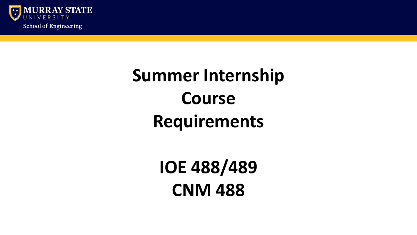

## **Summer Internship Course Requirements**

**IOE 488/489 CNM 488**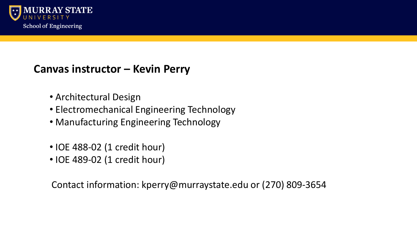

### **Canvas instructor – Kevin Perry**

- Architectural Design
- Electromechanical Engineering Technology
- Manufacturing Engineering Technology
- IOE 488-02 (1 credit hour)
- IOE 489-02 (1 credit hour)

Contact information: kperry@murraystate.edu or (270) 809-3654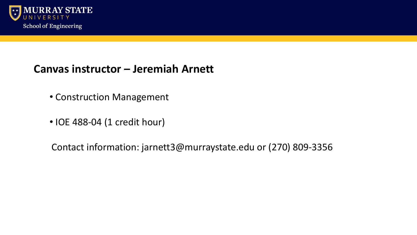

#### **Canvas instructor – Jeremiah Arnett**

- Construction Management
- IOE 488-04 (1 credit hour)

Contact information: jarnett3@murraystate.edu or (270) 809-3356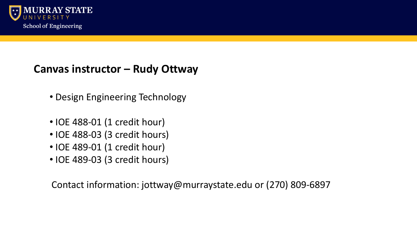

### **Canvas instructor – Rudy Ottway**

- Design Engineering Technology
- IOE 488-01 (1 credit hour)
- IOE 488-03 (3 credit hours)
- IOE 489-01 (1 credit hour)
- IOE 489-03 (3 credit hours)

Contact information: jottway@murraystate.edu or (270) 809-6897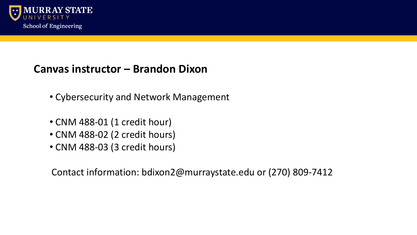

#### **Canvas instructor – Brandon Dixon**

- Cybersecurity and Network Management
- CNM 488-01 (1 credit hour)
- CNM 488-02 (2 credit hours)
- CNM 488-03 (3 credit hours)

Contact information: bdixon2@murraystate.edu or (270) 809-7412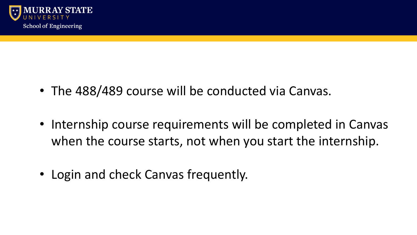

- The 488/489 course will be conducted via Canvas.
- Internship course requirements will be completed in Canvas when the course starts, not when you start the internship.
- Login and check Canvas frequently.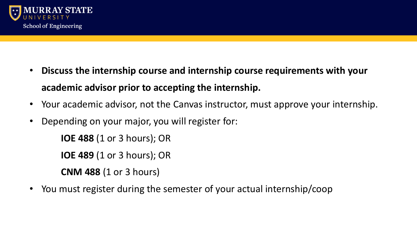

- **Discuss the internship course and internship course requirements with your academic advisor prior to accepting the internship.**
- Your academic advisor, not the Canvas instructor, must approve your internship.
- Depending on your major, you will register for:

**IOE 488** (1 or 3 hours); OR

**IOE 489** (1 or 3 hours); OR

**CNM 488** (1 or 3 hours)

• You must register during the semester of your actual internship/coop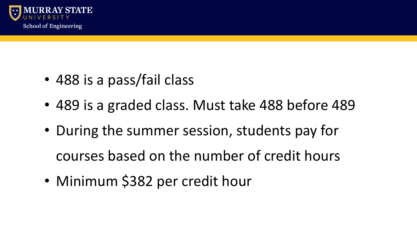

- 488 is a pass/fail class
- 489 is a graded class. Must take 488 before 489
- During the summer session, students pay for courses based on the number of credit hours
- Minimum \$382 per credit hour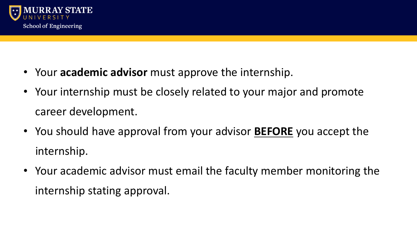

- Your **academic advisor** must approve the internship.
- Your internship must be closely related to your major and promote career development.
- You should have approval from your advisor **BEFORE** you accept the internship.
- Your academic advisor must email the faculty member monitoring the internship stating approval.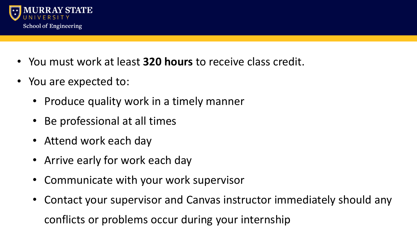

- You must work at least **320 hours** to receive class credit.
- You are expected to:
	- Produce quality work in a timely manner
	- Be professional at all times
	- Attend work each day
	- Arrive early for work each day
	- Communicate with your work supervisor
	- Contact your supervisor and Canvas instructor immediately should any conflicts or problems occur during your internship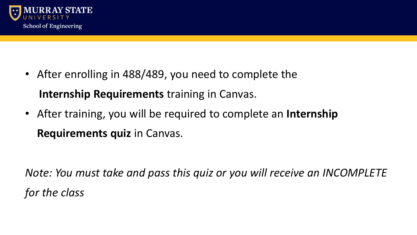

- After enrolling in 488/489, you need to complete the **Internship Requirements** training in Canvas.
- After training, you will be required to complete an **Internship Requirements quiz** in Canvas.

*Note: You must take and pass this quiz or you will receive an INCOMPLETE for the class*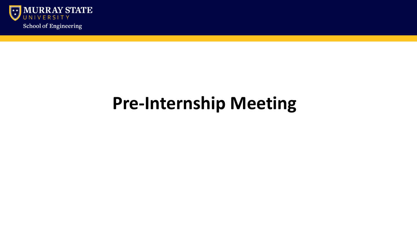

## **Pre-Internship Meeting**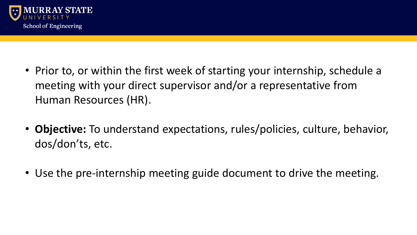

- Prior to, or within the first week of starting your internship, schedule a meeting with your direct supervisor and/or a representative from Human Resources (HR).
- **Objective:** To understand expectations, rules/policies, culture, behavior, dos/don'ts, etc.
- Use the pre-internship meeting guide document to drive the meeting.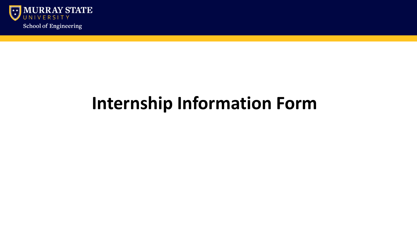

## **Internship Information Form**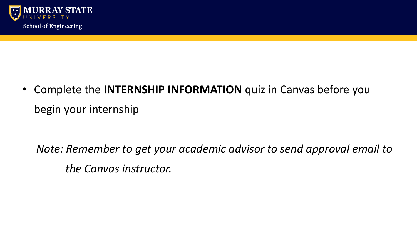

• Complete the **INTERNSHIP INFORMATION** quiz in Canvas before you begin your internship

*Note: Remember to get your academic advisor to send approval email to the Canvas instructor.*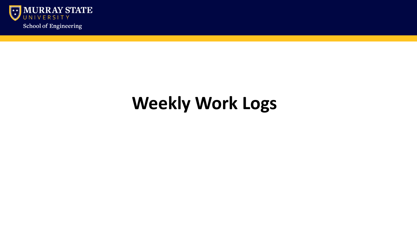

# **Weekly Work Logs**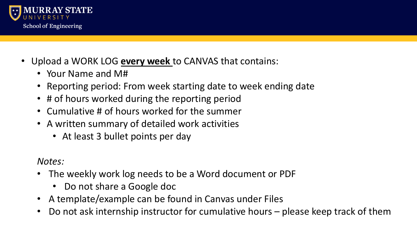

- Upload a WORK LOG **every week** to CANVAS that contains:
	- Your Name and M#
	- Reporting period: From week starting date to week ending date
	- # of hours worked during the reporting period
	- Cumulative # of hours worked for the summer
	- A written summary of detailed work activities
		- At least 3 bullet points per day

*Notes:*

- The weekly work log needs to be a Word document or PDF
	- Do not share a Google doc
- A template/example can be found in Canvas under Files
- Do not ask internship instructor for cumulative hours please keep track of them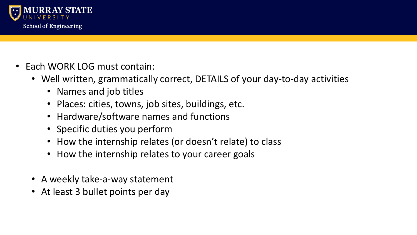

- Each WORK LOG must contain:
	- Well written, grammatically correct, DETAILS of your day-to-day activities
		- Names and job titles
		- Places: cities, towns, job sites, buildings, etc.
		- Hardware/software names and functions
		- Specific duties you perform
		- How the internship relates (or doesn't relate) to class
		- How the internship relates to your career goals
	- A weekly take-a-way statement
	- At least 3 bullet points per day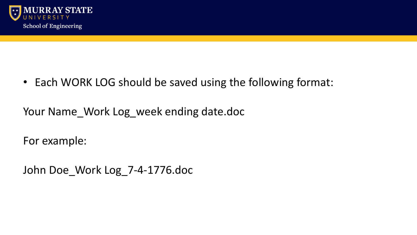

• Each WORK LOG should be saved using the following format:

Your Name\_Work Log\_week ending date.doc

For example:

John Doe\_Work Log\_7-4-1776.doc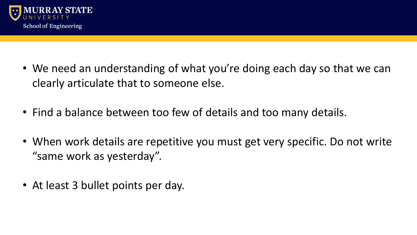

- We need an understanding of what you're doing each day so that we can clearly articulate that to someone else.
- Find a balance between too few of details and too many details.
- When work details are repetitive you must get very specific. Do not write "same work as yesterday".
- At least 3 bullet points per day.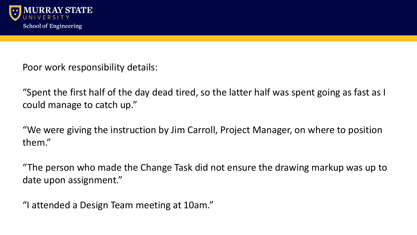

Poor work responsibility details:

"Spent the first half of the day dead tired, so the latter half was spent going as fast as I could manage to catch up."

"We were giving the instruction by Jim Carroll, Project Manager, on where to position them."

"The person who made the Change Task did not ensure the drawing markup was up to date upon assignment."

"I attended a Design Team meeting at 10am."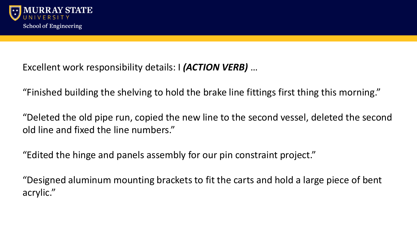

Excellent work responsibility details: I *(ACTION VERB)* …

"Finished building the shelving to hold the brake line fittings first thing this morning."

"Deleted the old pipe run, copied the new line to the second vessel, deleted the second old line and fixed the line numbers."

"Edited the hinge and panels assembly for our pin constraint project."

"Designed aluminum mounting brackets to fit the carts and hold a large piece of bent acrylic."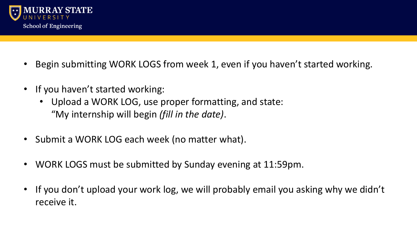

- Begin submitting WORK LOGS from week 1, even if you haven't started working.
- If you haven't started working:
	- Upload a WORK LOG, use proper formatting, and state: "My internship will begin *(fill in the date)*.
- Submit a WORK LOG each week (no matter what).
- WORK LOGS must be submitted by Sunday evening at 11:59pm.
- If you don't upload your work log, we will probably email you asking why we didn't receive it.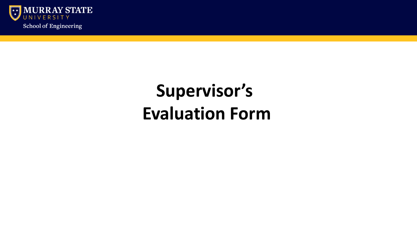

## **Supervisor's Evaluation Form**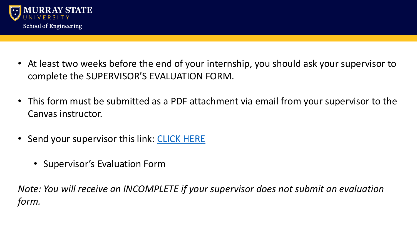

- At least two weeks before the end of your internship, you should ask your supervisor to complete the SUPERVISOR'S EVALUATION FORM.
- This form must be submitted as a PDF attachment via email from your supervisor to the Canvas instructor.
- Send your supervisor this link: [CLICK HERE](https://www.murraystate.edu/academics/CollegesDepartments/CollegeOfScienceEngineeringandTechnology/CollegeOfSciencePrograms/instituteOfEngineering/internships.aspx)
	- Supervisor's Evaluation Form

*Note: You will receive an INCOMPLETE if your supervisor does not submit an evaluation form.*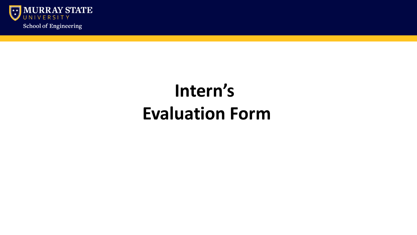

## **Intern's Evaluation Form**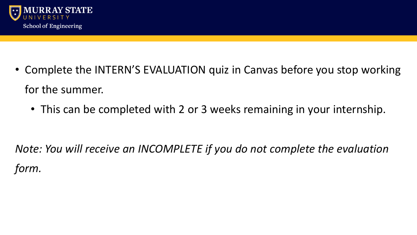

- Complete the INTERN'S EVALUATION quiz in Canvas before you stop working for the summer.
	- This can be completed with 2 or 3 weeks remaining in your internship.

*Note: You will receive an INCOMPLETE if you do not complete the evaluation form.*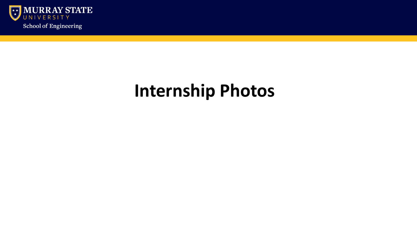

## **Internship Photos**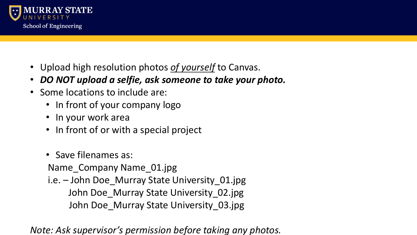

- Upload high resolution photos *of yourself* to Canvas.
- *DO NOT upload a selfie, ask someone to take your photo.*
- Some locations to include are:
	- In front of your company logo
	- In your work area
	- In front of or with a special project
	- Save filenames as:

Name Company Name 01.jpg

i.e. – John Doe\_Murray State University\_01.jpg John Doe\_Murray State University\_02.jpg John Doe\_Murray State University\_03.jpg

*Note: Ask supervisor's permission before taking any photos.*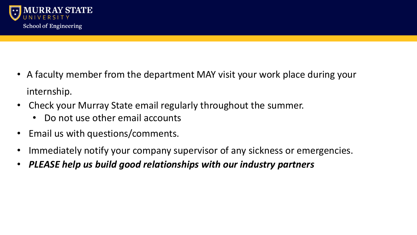

- A faculty member from the department MAY visit your work place during your internship.
- Check your Murray State email regularly throughout the summer.
	- Do not use other email accounts
- Email us with questions/comments.
- Immediately notify your company supervisor of any sickness or emergencies.
- *PLEASE help us build good relationships with our industry partners*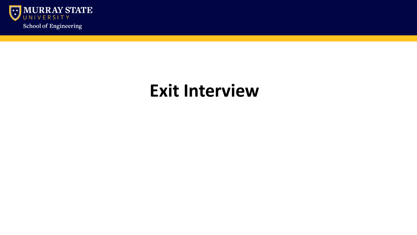

### **Exit Interview**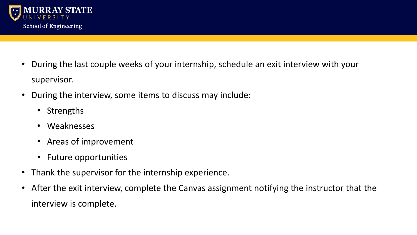

- During the last couple weeks of your internship, schedule an exit interview with your supervisor.
- During the interview, some items to discuss may include:
	- Strengths
	- Weaknesses
	- Areas of improvement
	- Future opportunities
- Thank the supervisor for the internship experience.
- After the exit interview, complete the Canvas assignment notifying the instructor that the interview is complete.